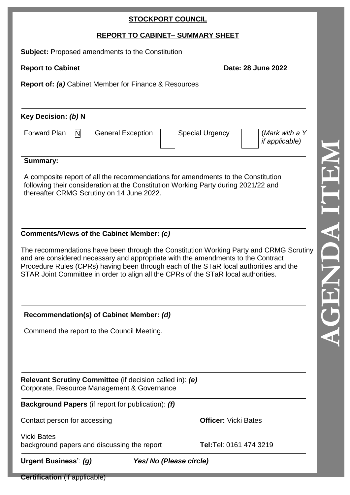## **STOCKPORT COUNCIL**

# **REPORT TO CABINET – SUMMARY SHEET**

**Subject:** Proposed amendments to the Constitution

**Report to Cabinet Date: 28 June 2022** 

**Report of:** *(a)* Cabinet Member for Finance & Resources

**Key Decision:** *(b)* **N**

| <b>Forward Plan</b> | N |
|---------------------|---|
|---------------------|---|

General Exception | Special Urgency

(*Mark with a Y if applicable)*

### **Summary:**

A composite report of all the recommendations for amendments to the Constitution following their consideration at the Constitution Working Party during 2021/22 and thereafter CRMG Scrutiny on 14 June 2022.

## **Comments/Views of the Cabinet Member:** *(c)*

The recommendations have been through the Constitution Working Party and CRMG Scrutiny and are considered necessary and appropriate with the amendments to the Contract Procedure Rules (CPRs) having been through each of the STaR local authorities and the STAR Joint Committee in order to align all the CPRs of the STaR local authorities.

**Recommendation(s) of Cabinet Member:** *(d)*

Commend the report to the Council Meeting.

**Relevant Scrutiny Committee** (if decision called in): *(e)* Corporate, Resource Management & Governance

**Background Papers** (if report for publication): *(f)*

Contact person for accessing **Officer:** Vicki Bates

Vicki Bates background papers and discussing the report **Tel:**Tel: 0161 474 3219

**Urgent Business'**: *(g) Yes/ No (Please circle)*

**AGENDA ITEM**

**Certification** (if applicable)